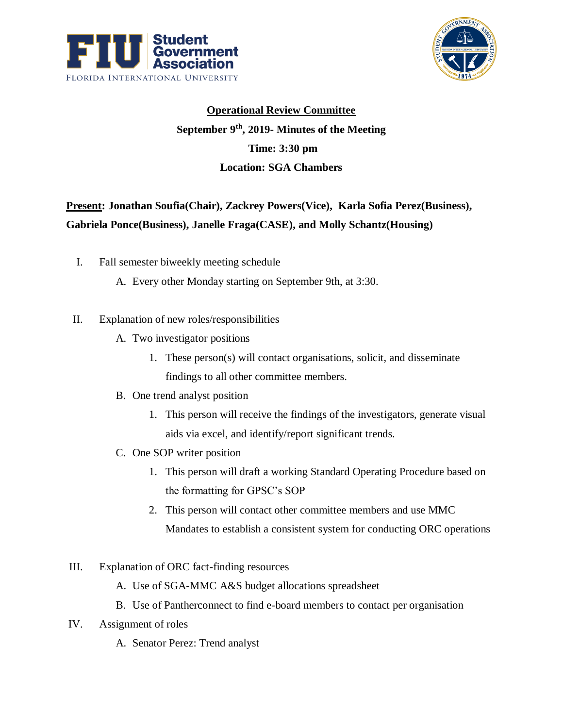



## **Operational Review Committee September 9th, 2019- Minutes of the Meeting Time: 3:30 pm Location: SGA Chambers**

## **Present: Jonathan Soufia(Chair), Zackrey Powers(Vice), Karla Sofia Perez(Business), Gabriela Ponce(Business), Janelle Fraga(CASE), and Molly Schantz(Housing)**

- I. Fall semester biweekly meeting schedule
	- A. Every other Monday starting on September 9th, at 3:30.
- II. Explanation of new roles/responsibilities
	- A. Two investigator positions
		- 1. These person(s) will contact organisations, solicit, and disseminate findings to all other committee members.
	- B. One trend analyst position
		- 1. This person will receive the findings of the investigators, generate visual aids via excel, and identify/report significant trends.
	- C. One SOP writer position
		- 1. This person will draft a working Standard Operating Procedure based on the formatting for GPSC's SOP
		- 2. This person will contact other committee members and use MMC Mandates to establish a consistent system for conducting ORC operations
- III. Explanation of ORC fact-finding resources
	- A. Use of SGA-MMC A&S budget allocations spreadsheet
	- B. Use of Pantherconnect to find e-board members to contact per organisation
- IV. Assignment of roles
	- A. Senator Perez: Trend analyst